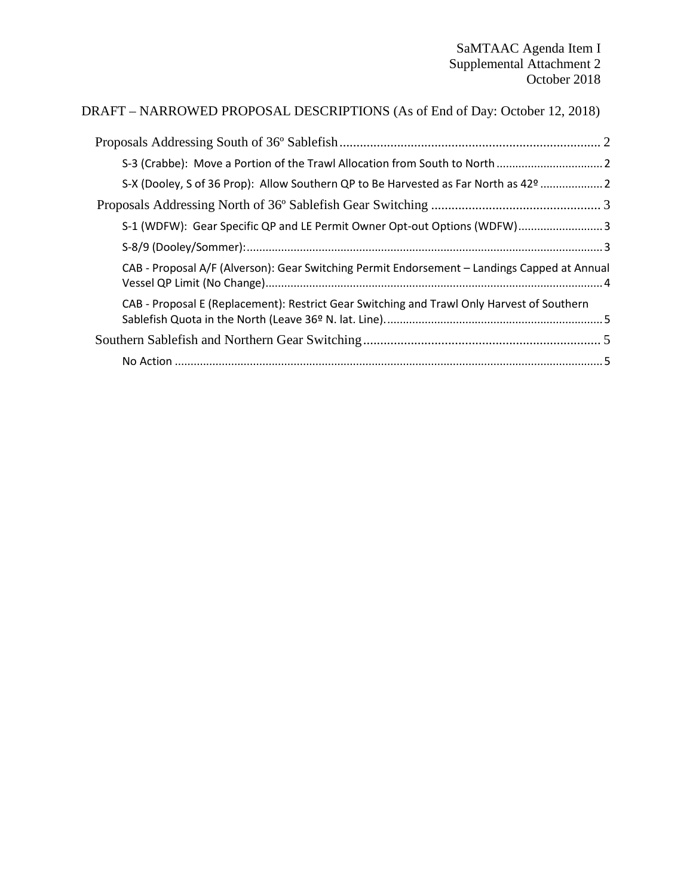## DRAFT – NARROWED PROPOSAL DESCRIPTIONS (As of End of Day: October 12, 2018)

| S-X (Dooley, S of 36 Prop): Allow Southern QP to Be Harvested as Far North as 42º  2         |  |
|----------------------------------------------------------------------------------------------|--|
|                                                                                              |  |
| S-1 (WDFW): Gear Specific QP and LE Permit Owner Opt-out Options (WDFW) 3                    |  |
|                                                                                              |  |
| CAB - Proposal A/F (Alverson): Gear Switching Permit Endorsement - Landings Capped at Annual |  |
| CAB - Proposal E (Replacement): Restrict Gear Switching and Trawl Only Harvest of Southern   |  |
|                                                                                              |  |
|                                                                                              |  |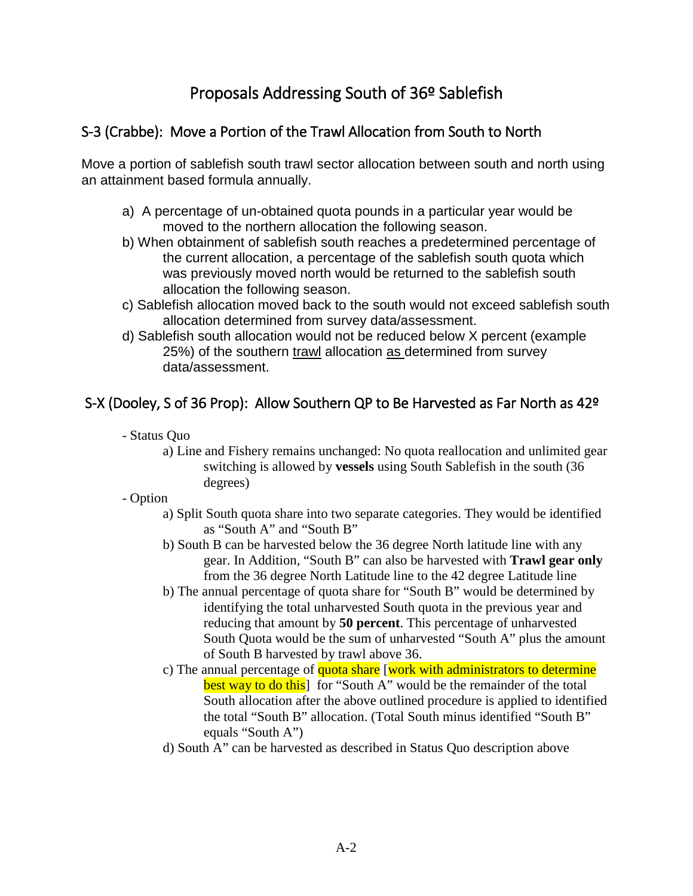# Proposals Addressing South of 36º Sablefish

### <span id="page-1-1"></span><span id="page-1-0"></span>S-3 (Crabbe): Move a Portion of the Trawl Allocation from South to North

Move a portion of sablefish south trawl sector allocation between south and north using an attainment based formula annually.

- a) A percentage of un-obtained quota pounds in a particular year would be moved to the northern allocation the following season.
- b) When obtainment of sablefish south reaches a predetermined percentage of the current allocation, a percentage of the sablefish south quota which was previously moved north would be returned to the sablefish south allocation the following season.
- c) Sablefish allocation moved back to the south would not exceed sablefish south allocation determined from survey data/assessment.
- d) Sablefish south allocation would not be reduced below X percent (example 25%) of the southern trawl allocation as determined from survey data/assessment.

## <span id="page-1-2"></span>S-X (Dooley, S of 36 Prop): Allow Southern QP to Be Harvested as Far North as 42º

- Status Quo
	- a) Line and Fishery remains unchanged: No quota reallocation and unlimited gear switching is allowed by **vessels** using South Sablefish in the south (36 degrees)
- Option
	- a) Split South quota share into two separate categories. They would be identified as "South A" and "South B"
	- b) South B can be harvested below the 36 degree North latitude line with any gear. In Addition, "South B" can also be harvested with **Trawl gear only**  from the 36 degree North Latitude line to the 42 degree Latitude line
	- b) The annual percentage of quota share for "South B" would be determined by identifying the total unharvested South quota in the previous year and reducing that amount by **50 percent**. This percentage of unharvested South Quota would be the sum of unharvested "South A" plus the amount of South B harvested by trawl above 36.
	- c) The annual percentage of quota share [work with administrators to determine best way to do this<sup>1</sup> for "South A" would be the remainder of the total South allocation after the above outlined procedure is applied to identified the total "South B" allocation. (Total South minus identified "South B" equals "South A")
	- d) South A" can be harvested as described in Status Quo description above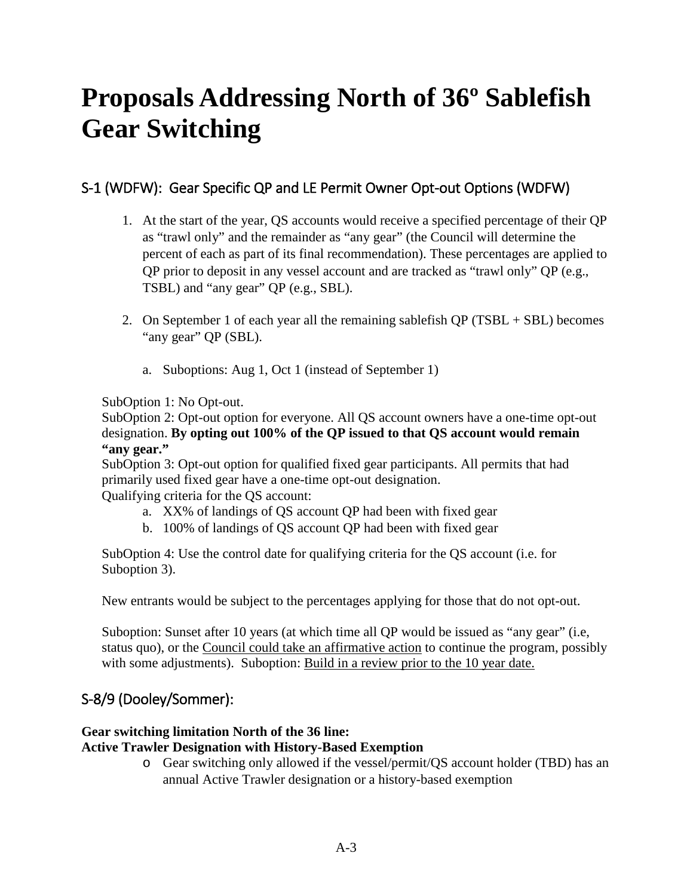# <span id="page-2-0"></span>**Proposals Addressing North of 36º Sablefish Gear Switching**

## <span id="page-2-1"></span>S-1 (WDFW): Gear Specific QP and LE Permit Owner Opt-out Options (WDFW)

- 1. At the start of the year, QS accounts would receive a specified percentage of their QP as "trawl only" and the remainder as "any gear" (the Council will determine the percent of each as part of its final recommendation). These percentages are applied to QP prior to deposit in any vessel account and are tracked as "trawl only" QP (e.g., TSBL) and "any gear" QP (e.g., SBL).
- 2. On September 1 of each year all the remaining sable fish  $QP (TSBL + SBL)$  becomes "any gear" QP (SBL).
	- a. Suboptions: Aug 1, Oct 1 (instead of September 1)

SubOption 1: No Opt-out.

SubOption 2: Opt-out option for everyone. All QS account owners have a one-time opt-out designation. **By opting out 100% of the QP issued to that QS account would remain "any gear."**

SubOption 3: Opt-out option for qualified fixed gear participants. All permits that had primarily used fixed gear have a one-time opt-out designation. Qualifying criteria for the QS account:

- a. XX% of landings of QS account QP had been with fixed gear
- b. 100% of landings of QS account QP had been with fixed gear

SubOption 4: Use the control date for qualifying criteria for the QS account (i.e. for Suboption 3).

New entrants would be subject to the percentages applying for those that do not opt-out.

Suboption: Sunset after 10 years (at which time all QP would be issued as "any gear" (i.e, status quo), or the Council could take an affirmative action to continue the program, possibly with some adjustments). Suboption: Build in a review prior to the 10 year date.

## <span id="page-2-2"></span>S-8/9 (Dooley/Sommer):

#### **Gear switching limitation North of the 36 line:**

#### **Active Trawler Designation with History-Based Exemption**

o Gear switching only allowed if the vessel/permit/QS account holder (TBD) has an annual Active Trawler designation or a history-based exemption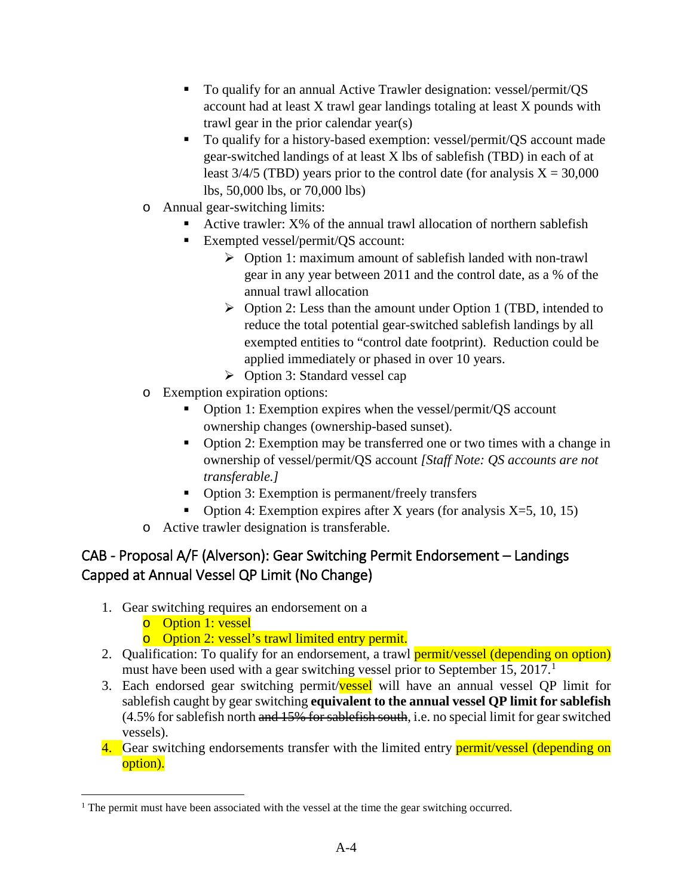- To qualify for an annual Active Trawler designation: vessel/permit/QS account had at least X trawl gear landings totaling at least X pounds with trawl gear in the prior calendar year(s)
- To qualify for a history-based exemption: vessel/permit/QS account made gear-switched landings of at least X lbs of sablefish (TBD) in each of at least  $3/4/5$  (TBD) years prior to the control date (for analysis  $X = 30,000$ lbs, 50,000 lbs, or 70,000 lbs)
- o Annual gear-switching limits:
	- Active trawler: X% of the annual trawl allocation of northern sablefish
	- Exempted vessel/permit/QS account:
		- $\triangleright$  Option 1: maximum amount of sablefish landed with non-trawl gear in any year between 2011 and the control date, as a % of the annual trawl allocation
		- $\triangleright$  Option 2: Less than the amount under Option 1 (TBD, intended to reduce the total potential gear-switched sablefish landings by all exempted entities to "control date footprint). Reduction could be applied immediately or phased in over 10 years.
		- $\triangleright$  Option 3: Standard vessel cap
- o Exemption expiration options:
	- Option 1: Exemption expires when the vessel/permit/QS account ownership changes (ownership-based sunset).
	- Option 2: Exemption may be transferred one or two times with a change in ownership of vessel/permit/QS account *[Staff Note: QS accounts are not transferable.]*
	- Option 3: Exemption is permanent/freely transfers
	- Option 4: Exemption expires after X years (for analysis  $X=5$ , 10, 15)
- o Active trawler designation is transferable.

## <span id="page-3-0"></span>CAB - Proposal A/F (Alverson): Gear Switching Permit Endorsement – Landings Capped at Annual Vessel QP Limit (No Change)

- 1. Gear switching requires an endorsement on a
	- o Option 1: vessel
	- o Option 2: vessel's trawl limited entry permit.
- 2. Qualification: To qualify for an endorsement, a trawl **permit/vessel (depending on option)** must have been used with a gear switching vessel prior to September [1](#page-3-1)5, 2017.<sup>1</sup>
- 3. Each endorsed gear switching permit/vessel will have an annual vessel QP limit for sablefish caught by gear switching **equivalent to the annual vessel QP limit for sablefish** (4.5% for sablefish north and 15% for sablefish south, i.e. no special limit for gear switched vessels).
- 4. Gear switching endorsements transfer with the limited entry **permit/vessel (depending on** option).

<span id="page-3-1"></span><sup>&</sup>lt;sup>1</sup> The permit must have been associated with the vessel at the time the gear switching occurred.